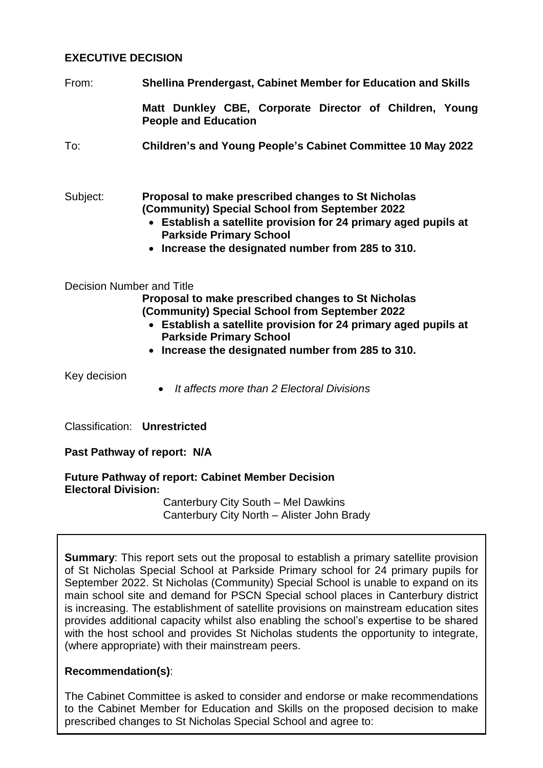## **EXECUTIVE DECISION**

From: **Shellina Prendergast, Cabinet Member for Education and Skills**

**Matt Dunkley CBE, Corporate Director of Children, Young People and Education**

To: **Children's and Young People's Cabinet Committee 10 May 2022**

## Subject: **Proposal to make prescribed changes to St Nicholas (Community) Special School from September 2022**

- **Establish a satellite provision for 24 primary aged pupils at Parkside Primary School**
- **Increase the designated number from 285 to 310.**

#### Decision Number and Title

**Proposal to make prescribed changes to St Nicholas (Community) Special School from September 2022**

- **Establish a satellite provision for 24 primary aged pupils at Parkside Primary School**
- **Increase the designated number from 285 to 310.**

Key decision

*It affects more than 2 Electoral Divisions*

Classification: **Unrestricted**

**Past Pathway of report: N/A**

**Future Pathway of report: Cabinet Member Decision Electoral Division:** 

> Canterbury City South – Mel Dawkins Canterbury City North – Alister John Brady

**Summary:** This report sets out the proposal to establish a primary satellite provision of St Nicholas Special School at Parkside Primary school for 24 primary pupils for September 2022. St Nicholas (Community) Special School is unable to expand on its main school site and demand for PSCN Special school places in Canterbury district is increasing. The establishment of satellite provisions on mainstream education sites provides additional capacity whilst also enabling the school's expertise to be shared with the host school and provides St Nicholas students the opportunity to integrate, (where appropriate) with their mainstream peers.

#### **Recommendation(s)**:

The Cabinet Committee is asked to consider and endorse or make recommendations to the Cabinet Member for Education and Skills on the proposed decision to make prescribed changes to St Nicholas Special School and agree to: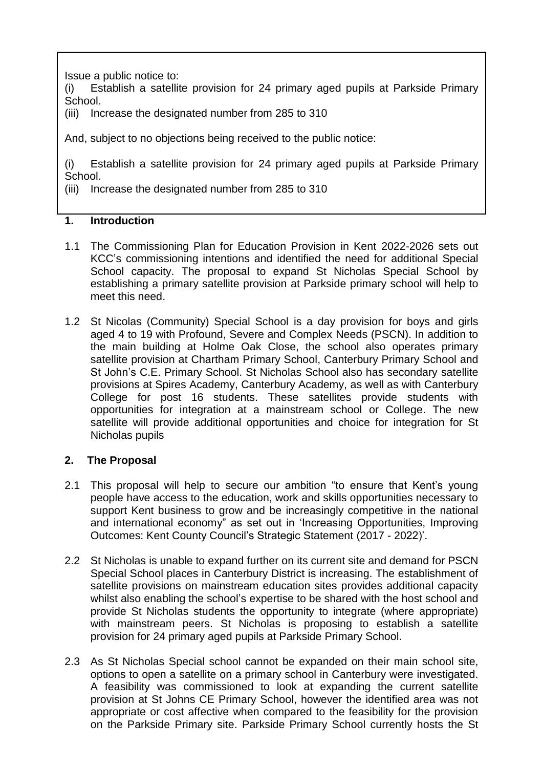Issue a public notice to:

(i) Establish a satellite provision for 24 primary aged pupils at Parkside Primary School.

(iii) Increase the designated number from 285 to 310

And, subject to no objections being received to the public notice:

(i) Establish a satellite provision for 24 primary aged pupils at Parkside Primary School.

(iii) Increase the designated number from 285 to 310

## **1. Introduction**

- 1.1 The Commissioning Plan for Education Provision in Kent 2022-2026 sets out KCC's commissioning intentions and identified the need for additional Special School capacity. The proposal to expand St Nicholas Special School by establishing a primary satellite provision at Parkside primary school will help to meet this need.
- 1.2 St Nicolas (Community) Special School is a day provision for boys and girls aged 4 to 19 with Profound, Severe and Complex Needs (PSCN). In addition to the main building at Holme Oak Close, the school also operates primary satellite provision at Chartham Primary School, Canterbury Primary School and St John's C.E. Primary School. St Nicholas School also has secondary satellite provisions at Spires Academy, Canterbury Academy, as well as with Canterbury College for post 16 students. These satellites provide students with opportunities for integration at a mainstream school or College. The new satellite will provide additional opportunities and choice for integration for St Nicholas pupils

# **2. The Proposal**

- 2.1 This proposal will help to secure our ambition "to ensure that Kent's young people have access to the education, work and skills opportunities necessary to support Kent business to grow and be increasingly competitive in the national and international economy" as set out in 'Increasing Opportunities, Improving Outcomes: Kent County Council's Strategic Statement (2017 - 2022)'.
- 2.2 St Nicholas is unable to expand further on its current site and demand for PSCN Special School places in Canterbury District is increasing. The establishment of satellite provisions on mainstream education sites provides additional capacity whilst also enabling the school's expertise to be shared with the host school and provide St Nicholas students the opportunity to integrate (where appropriate) with mainstream peers. St Nicholas is proposing to establish a satellite provision for 24 primary aged pupils at Parkside Primary School.
- 2.3 As St Nicholas Special school cannot be expanded on their main school site, options to open a satellite on a primary school in Canterbury were investigated. A feasibility was commissioned to look at expanding the current satellite provision at St Johns CE Primary School, however the identified area was not appropriate or cost affective when compared to the feasibility for the provision on the Parkside Primary site. Parkside Primary School currently hosts the St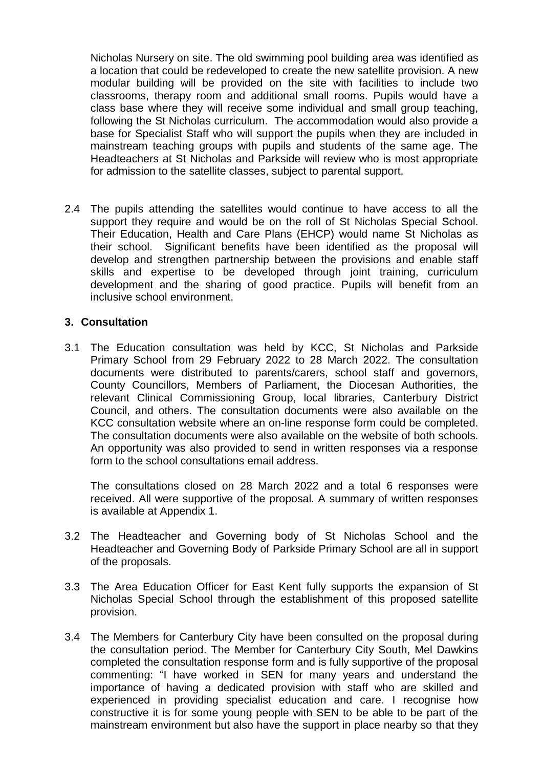Nicholas Nursery on site. The old swimming pool building area was identified as a location that could be redeveloped to create the new satellite provision. A new modular building will be provided on the site with facilities to include two classrooms, therapy room and additional small rooms. Pupils would have a class base where they will receive some individual and small group teaching, following the St Nicholas curriculum. The accommodation would also provide a base for Specialist Staff who will support the pupils when they are included in mainstream teaching groups with pupils and students of the same age. The Headteachers at St Nicholas and Parkside will review who is most appropriate for admission to the satellite classes, subject to parental support.

2.4 The pupils attending the satellites would continue to have access to all the support they require and would be on the roll of St Nicholas Special School. Their Education, Health and Care Plans (EHCP) would name St Nicholas as their school. Significant benefits have been identified as the proposal will develop and strengthen partnership between the provisions and enable staff skills and expertise to be developed through joint training, curriculum development and the sharing of good practice. Pupils will benefit from an inclusive school environment.

#### **3. Consultation**

3.1 The Education consultation was held by KCC, St Nicholas and Parkside Primary School from 29 February 2022 to 28 March 2022. The consultation documents were distributed to parents/carers, school staff and governors, County Councillors, Members of Parliament, the Diocesan Authorities, the relevant Clinical Commissioning Group, local libraries, Canterbury District Council, and others. The consultation documents were also available on the KCC consultation website where an on-line response form could be completed. The consultation documents were also available on the website of both schools. An opportunity was also provided to send in written responses via a response form to the school consultations email address.

The consultations closed on 28 March 2022 and a total 6 responses were received. All were supportive of the proposal. A summary of written responses is available at Appendix 1.

- 3.2 The Headteacher and Governing body of St Nicholas School and the Headteacher and Governing Body of Parkside Primary School are all in support of the proposals.
- 3.3 The Area Education Officer for East Kent fully supports the expansion of St Nicholas Special School through the establishment of this proposed satellite provision.
- 3.4 The Members for Canterbury City have been consulted on the proposal during the consultation period. The Member for Canterbury City South, Mel Dawkins completed the consultation response form and is fully supportive of the proposal commenting: "I have worked in SEN for many years and understand the importance of having a dedicated provision with staff who are skilled and experienced in providing specialist education and care. I recognise how constructive it is for some young people with SEN to be able to be part of the mainstream environment but also have the support in place nearby so that they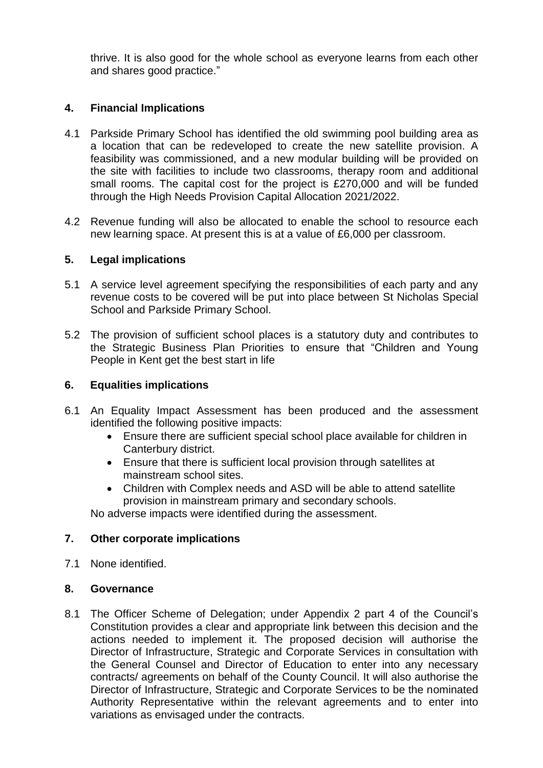thrive. It is also good for the whole school as everyone learns from each other and shares good practice."

# **4. Financial Implications**

- 4.1 Parkside Primary School has identified the old swimming pool building area as a location that can be redeveloped to create the new satellite provision. A feasibility was commissioned, and a new modular building will be provided on the site with facilities to include two classrooms, therapy room and additional small rooms. The capital cost for the project is £270,000 and will be funded through the High Needs Provision Capital Allocation 2021/2022.
- 4.2 Revenue funding will also be allocated to enable the school to resource each new learning space. At present this is at a value of £6,000 per classroom.

#### **5. Legal implications**

- 5.1 A service level agreement specifying the responsibilities of each party and any revenue costs to be covered will be put into place between St Nicholas Special School and Parkside Primary School.
- 5.2 The provision of sufficient school places is a statutory duty and contributes to the Strategic Business Plan Priorities to ensure that "Children and Young People in Kent get the best start in life

#### **6. Equalities implications**

- 6.1 An Equality Impact Assessment has been produced and the assessment identified the following positive impacts:
	- Ensure there are sufficient special school place available for children in Canterbury district.
	- Ensure that there is sufficient local provision through satellites at mainstream school sites.
	- Children with Complex needs and ASD will be able to attend satellite provision in mainstream primary and secondary schools.

No adverse impacts were identified during the assessment.

#### **7. Other corporate implications**

7.1 None identified.

#### **8. Governance**

8.1 The Officer Scheme of Delegation; under Appendix 2 part 4 of the Council's Constitution provides a clear and appropriate link between this decision and the actions needed to implement it. The proposed decision will authorise the Director of Infrastructure, Strategic and Corporate Services in consultation with the General Counsel and Director of Education to enter into any necessary contracts/ agreements on behalf of the County Council. It will also authorise the Director of Infrastructure, Strategic and Corporate Services to be the nominated Authority Representative within the relevant agreements and to enter into variations as envisaged under the contracts.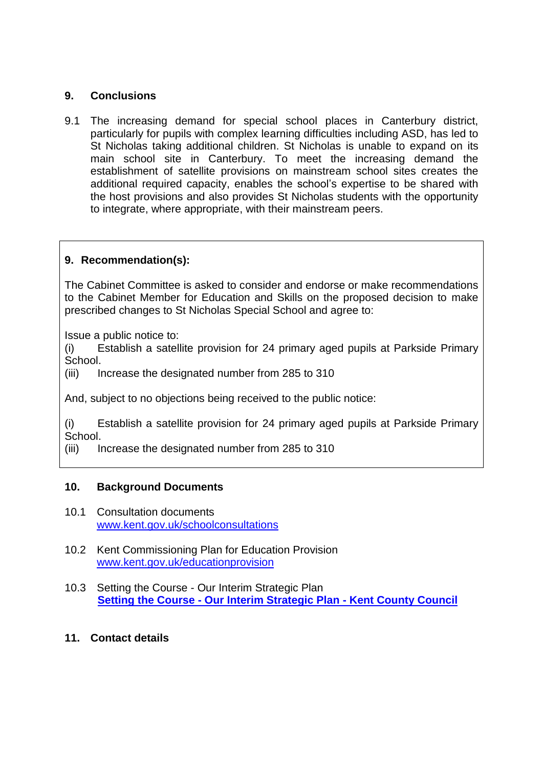## **9. Conclusions**

9.1 The increasing demand for special school places in Canterbury district, particularly for pupils with complex learning difficulties including ASD, has led to St Nicholas taking additional children. St Nicholas is unable to expand on its main school site in Canterbury. To meet the increasing demand the establishment of satellite provisions on mainstream school sites creates the additional required capacity, enables the school's expertise to be shared with the host provisions and also provides St Nicholas students with the opportunity to integrate, where appropriate, with their mainstream peers.

# **9. Recommendation(s):**

The Cabinet Committee is asked to consider and endorse or make recommendations to the Cabinet Member for Education and Skills on the proposed decision to make prescribed changes to St Nicholas Special School and agree to:

Issue a public notice to:

(i) Establish a satellite provision for 24 primary aged pupils at Parkside Primary School.

(iii) Increase the designated number from 285 to 310

And, subject to no objections being received to the public notice:

(i) Establish a satellite provision for 24 primary aged pupils at Parkside Primary School.

(iii) Increase the designated number from 285 to 310

#### **10. Background Documents**

- 10.1 Consultation documents [www.kent.gov.uk/schoolconsultations](http://www.kent.gov.uk/schoolconsultations)
- 10.2 Kent Commissioning Plan for Education Provision [www.kent.gov.uk/educationprovision](http://www.kent.gov.uk/educationprovision)
- 10.3 Setting the Course Our Interim Strategic Plan **Setting the Course - [Our Interim Strategic Plan -](https://www.kent.gov.uk/about-the-council/strategies-and-policies/corporate-policies/interim-strategic-plan) Kent County Council**

#### **11. Contact details**